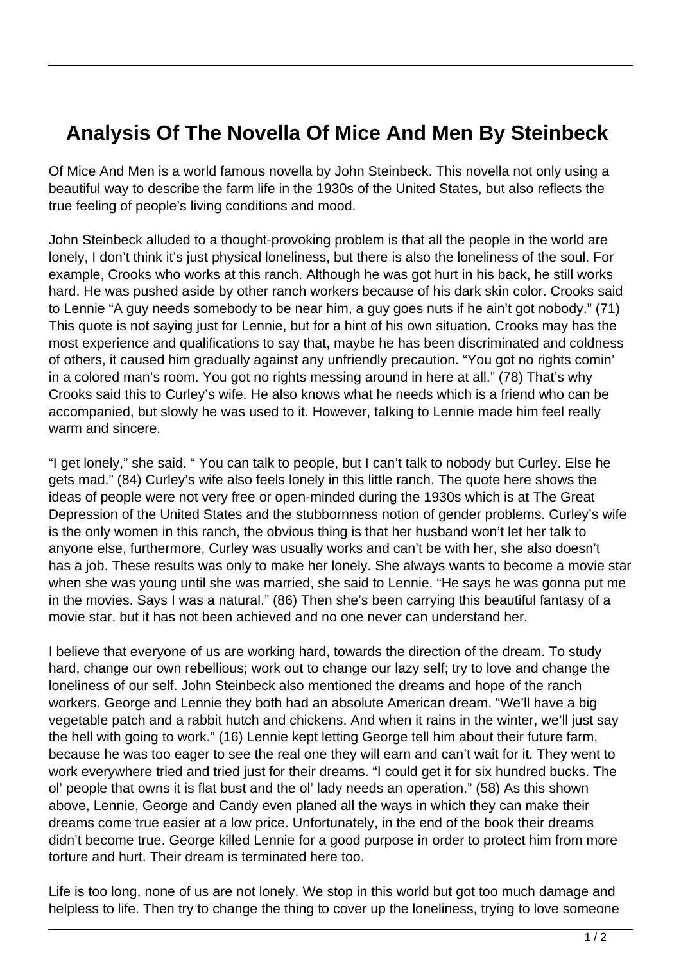## **Analysis Of The Novella Of Mice And Men By Steinbeck**

Of Mice And Men is a world famous novella by John Steinbeck. This novella not only using a beautiful way to describe the farm life in the 1930s of the United States, but also reflects the true feeling of people's living conditions and mood.

John Steinbeck alluded to a thought-provoking problem is that all the people in the world are lonely, I don't think it's just physical loneliness, but there is also the loneliness of the soul. For example, Crooks who works at this ranch. Although he was got hurt in his back, he still works hard. He was pushed aside by other ranch workers because of his dark skin color. Crooks said to Lennie "A guy needs somebody to be near him, a guy goes nuts if he ain't got nobody." (71) This quote is not saying just for Lennie, but for a hint of his own situation. Crooks may has the most experience and qualifications to say that, maybe he has been discriminated and coldness of others, it caused him gradually against any unfriendly precaution. "You got no rights comin' in a colored man's room. You got no rights messing around in here at all." (78) That's why Crooks said this to Curley's wife. He also knows what he needs which is a friend who can be accompanied, but slowly he was used to it. However, talking to Lennie made him feel really warm and sincere.

"I get lonely," she said. " You can talk to people, but I can't talk to nobody but Curley. Else he gets mad." (84) Curley's wife also feels lonely in this little ranch. The quote here shows the ideas of people were not very free or open-minded during the 1930s which is at The Great Depression of the United States and the stubbornness notion of gender problems. Curley's wife is the only women in this ranch, the obvious thing is that her husband won't let her talk to anyone else, furthermore, Curley was usually works and can't be with her, she also doesn't has a job. These results was only to make her lonely. She always wants to become a movie star when she was young until she was married, she said to Lennie. "He says he was gonna put me in the movies. Says I was a natural." (86) Then she's been carrying this beautiful fantasy of a movie star, but it has not been achieved and no one never can understand her.

I believe that everyone of us are working hard, towards the direction of the dream. To study hard, change our own rebellious; work out to change our lazy self; try to love and change the loneliness of our self. John Steinbeck also mentioned the dreams and hope of the ranch workers. George and Lennie they both had an absolute American dream. "We'll have a big vegetable patch and a rabbit hutch and chickens. And when it rains in the winter, we'll just say the hell with going to work." (16) Lennie kept letting George tell him about their future farm, because he was too eager to see the real one they will earn and can't wait for it. They went to work everywhere tried and tried just for their dreams. "I could get it for six hundred bucks. The ol' people that owns it is flat bust and the ol' lady needs an operation." (58) As this shown above, Lennie, George and Candy even planed all the ways in which they can make their dreams come true easier at a low price. Unfortunately, in the end of the book their dreams didn't become true. George killed Lennie for a good purpose in order to protect him from more torture and hurt. Their dream is terminated here too.

Life is too long, none of us are not lonely. We stop in this world but got too much damage and helpless to life. Then try to change the thing to cover up the loneliness, trying to love someone